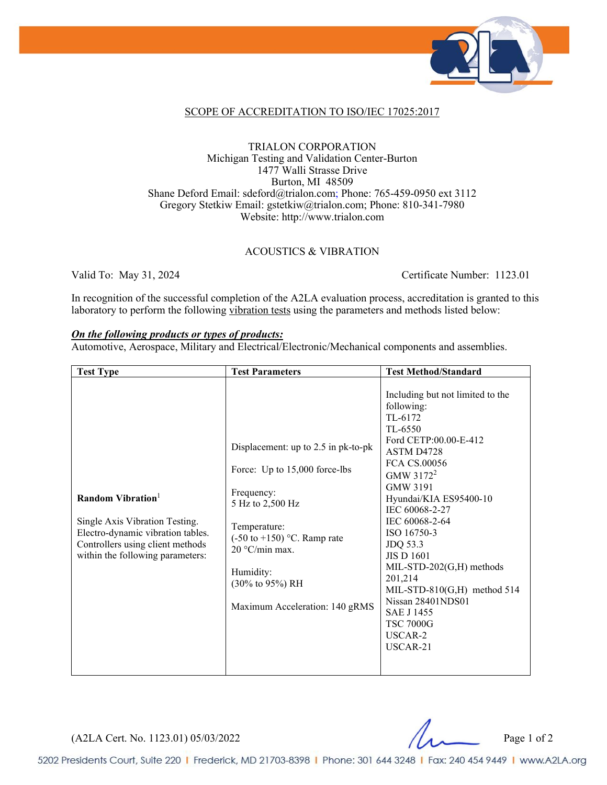

#### SCOPE OF ACCREDITATION TO ISO/IEC 17025:2017

#### TRIALON CORPORATION Michigan Testing and Validation Center-Burton 1477 Walli Strasse Drive Burton, MI 48509 Shane Deford Email: sdeford@trialon.com; Phone: 765-459-0950 ext 3112 Gregory Stetkiw Email: gstetkiw@trialon.com; Phone: 810-341-7980 Website: http://www.trialon.com

#### ACOUSTICS & VIBRATION

Valid To: May 31, 2024 Certificate Number: 1123.01

In recognition of the successful completion of the A2LA evaluation process, accreditation is granted to this laboratory to perform the following vibration tests using the parameters and methods listed below:

#### *On the following products or types of products:*

Automotive, Aerospace, Military and Electrical/Electronic/Mechanical components and assemblies.

| <b>Test Type</b>                                                                                                                                                | <b>Test Parameters</b>                                                                                                                                                                                                                                                    | <b>Test Method/Standard</b>                                                                                                                                                                                                                                                                                                                                                                                                                           |
|-----------------------------------------------------------------------------------------------------------------------------------------------------------------|---------------------------------------------------------------------------------------------------------------------------------------------------------------------------------------------------------------------------------------------------------------------------|-------------------------------------------------------------------------------------------------------------------------------------------------------------------------------------------------------------------------------------------------------------------------------------------------------------------------------------------------------------------------------------------------------------------------------------------------------|
| Random Vibration<br>Single Axis Vibration Testing.<br>Electro-dynamic vibration tables.<br>Controllers using client methods<br>within the following parameters: | Displacement: up to 2.5 in pk-to-pk<br>Force: Up to 15,000 force-lbs<br>Frequency:<br>5 Hz to 2,500 Hz<br>Temperature:<br>$(-50 \text{ to } +150)$ °C. Ramp rate<br>20 °C/min max.<br>Humidity:<br>$(30\% \text{ to } 95\%) \text{ RH}$<br>Maximum Acceleration: 140 gRMS | Including but not limited to the<br>following:<br>TL-6172<br>TL-6550<br>Ford CETP:00.00-E-412<br>ASTM D4728<br>FCA CS.00056<br>GMW 3172 <sup>2</sup><br><b>GMW 3191</b><br>Hyundai/KIA ES95400-10<br>IEC 60068-2-27<br>IEC 60068-2-64<br>ISO 16750-3<br>JDQ 53.3<br><b>JIS D 1601</b><br>$MIL-STD-202(G,H)$ methods<br>201,214<br>MIL-STD-810 $(G,H)$ method 514<br>Nissan 28401NDS01<br><b>SAE J 1455</b><br><b>TSC 7000G</b><br>USCAR-2<br>USCAR-21 |

(A2LA Cert. No. 1123.01) 05/03/2022 Page 1 of 2

5202 Presidents Court, Suite 220 | Frederick, MD 21703-8398 | Phone: 301 644 3248 | Fax: 240 454 9449 | www.A2LA.org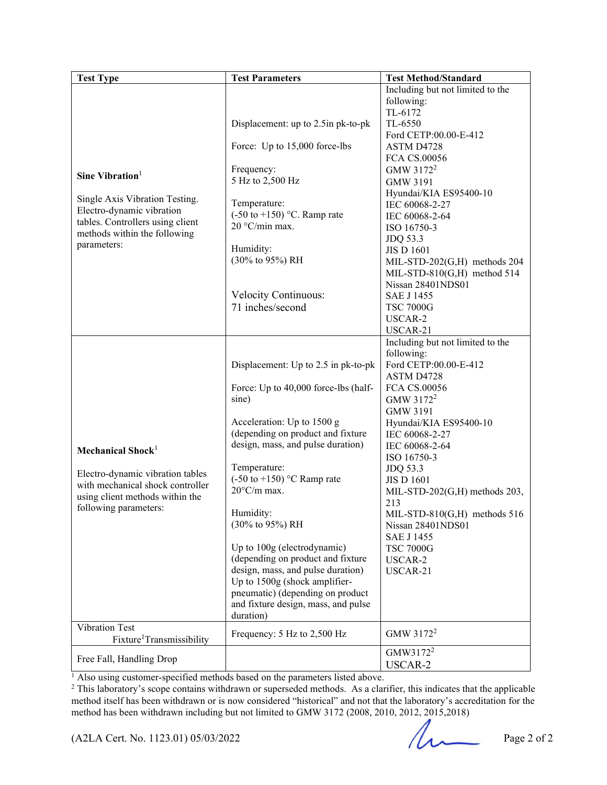| <b>Test Type</b>                                            | <b>Test Parameters</b>                 | <b>Test Method/Standard</b>      |
|-------------------------------------------------------------|----------------------------------------|----------------------------------|
|                                                             |                                        | Including but not limited to the |
|                                                             |                                        | following:                       |
|                                                             |                                        | TL-6172                          |
|                                                             | Displacement: up to 2.5in pk-to-pk     | TL-6550                          |
|                                                             |                                        | Ford CETP:00.00-E-412            |
|                                                             | Force: Up to 15,000 force-lbs          | ASTM D4728                       |
|                                                             |                                        | FCA CS.00056                     |
| Sine Vibration <sup>1</sup>                                 | Frequency:                             | GMW 3172 <sup>2</sup>            |
|                                                             | 5 Hz to 2,500 Hz                       | <b>GMW 3191</b>                  |
|                                                             |                                        | Hyundai/KIA ES95400-10           |
| Single Axis Vibration Testing.<br>Electro-dynamic vibration | Temperature:                           | IEC 60068-2-27                   |
|                                                             | $(-50 \text{ to } +150)$ °C. Ramp rate | IEC 60068-2-64                   |
| tables. Controllers using client                            | 20 °C/min max.                         | ISO 16750-3                      |
| methods within the following                                |                                        | JDQ 53.3                         |
| parameters:                                                 | Humidity:                              | <b>JIS D 1601</b>                |
|                                                             | (30% to 95%) RH                        | MIL-STD-202(G,H) methods 204     |
|                                                             |                                        | MIL-STD-810 $(G,H)$ method 514   |
|                                                             |                                        | Nissan 28401NDS01                |
|                                                             | <b>Velocity Continuous:</b>            | <b>SAE J 1455</b>                |
|                                                             | 71 inches/second                       | <b>TSC 7000G</b>                 |
|                                                             |                                        | USCAR-2                          |
|                                                             |                                        | USCAR-21                         |
|                                                             |                                        | Including but not limited to the |
|                                                             |                                        | following:                       |
|                                                             | Displacement: Up to 2.5 in pk-to-pk    | Ford CETP:00.00-E-412            |
|                                                             |                                        | ASTM D4728                       |
|                                                             | Force: Up to 40,000 force-lbs (half-   | FCA CS.00056                     |
|                                                             | sine)                                  | GMW 3172 <sup>2</sup>            |
|                                                             |                                        | <b>GMW 3191</b>                  |
|                                                             | Acceleration: Up to 1500 g             | Hyundai/KIA ES95400-10           |
|                                                             | (depending on product and fixture      | IEC 60068-2-27                   |
| Mechanical Shock <sup>1</sup>                               | design, mass, and pulse duration)      | IEC 60068-2-64                   |
|                                                             |                                        | ISO 16750-3                      |
| Electro-dynamic vibration tables                            | Temperature:                           | JDQ 53.3                         |
| with mechanical shock controller                            | $(-50 \text{ to } +150)$ °C Ramp rate  | <b>JIS D 1601</b>                |
| using client methods within the                             | $20^{\circ}$ C/m max.                  | MIL-STD-202(G,H) methods 203,    |
| following parameters:                                       |                                        | 213                              |
|                                                             | Humidity:                              | MIL-STD-810(G,H) methods 516     |
|                                                             | (30% to 95%) RH                        | Nissan 28401NDS01                |
|                                                             |                                        | <b>SAE J 1455</b>                |
|                                                             | Up to 100g (electrodynamic)            | <b>TSC 7000G</b>                 |
|                                                             | (depending on product and fixture      | USCAR-2                          |
|                                                             | design, mass, and pulse duration)      | USCAR-21                         |
|                                                             | Up to 1500g (shock amplifier-          |                                  |
|                                                             | pneumatic) (depending on product       |                                  |
|                                                             | and fixture design, mass, and pulse    |                                  |
|                                                             | duration)                              |                                  |
| Vibration Test                                              | Frequency: 5 Hz to 2,500 Hz            | GMW 3172 <sup>2</sup>            |
| Fixture <sup>1</sup> Transmissibility                       |                                        |                                  |
| Free Fall, Handling Drop                                    |                                        | GMW3172 <sup>2</sup>             |
|                                                             |                                        | USCAR-2                          |

<sup>1</sup> Also using customer-specified methods based on the parameters listed above.

<sup>2</sup> This laboratory's scope contains withdrawn or superseded methods. As a clarifier, this indicates that the applicable method itself has been withdrawn or is now considered "historical" and not that the laboratory's accreditation for the method has been withdrawn including but not limited to GMW 3172 (2008, 2010, 2012, 2015,2018)